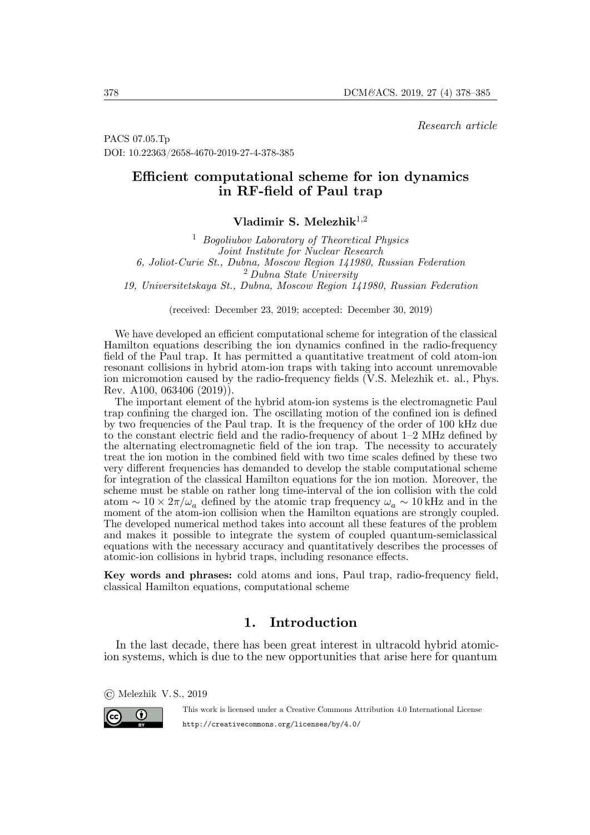*Research article*

PACS 07.05.Tp DOI: 10.22363/2658-4670-2019-27-4-378-385

# **Efficient computational scheme for ion dynamics in RF-field of Paul trap**

**Vladimir S. Melezhik**1,<sup>2</sup>

<sup>1</sup> *Bogoliubov Laboratory of Theoretical Physics Joint Institute for Nuclear Research 6, Joliot-Curie St., Dubna, Moscow Region 141980, Russian Federation* <sup>2</sup> *Dubna State University 19, Universitetskaya St., Dubna, Moscow Region 141980, Russian Federation*

(received: December 23, 2019; accepted: December 30, 2019)

We have developed an efficient computational scheme for integration of the classical Hamilton equations describing the ion dynamics confined in the radio-frequency field of the Paul trap. It has permitted a quantitative treatment of cold atom-ion resonant collisions in hybrid atom-ion traps with taking into account unremovable ion micromotion caused by the radio-frequency fields (V.S. Melezhik et. al., Phys. Rev. A100, 063406 (2019)).

The important element of the hybrid atom-ion systems is the electromagnetic Paul trap confining the charged ion. The oscillating motion of the confined ion is defined by two frequencies of the Paul trap. It is the frequency of the order of 100 kHz due to the constant electric field and the radio-frequency of about 1–2 MHz defined by the alternating electromagnetic field of the ion trap. The necessity to accurately treat the ion motion in the combined field with two time scales defined by these two very different frequencies has demanded to develop the stable computational scheme for integration of the classical Hamilton equations for the ion motion. Moreover, the scheme must be stable on rather long time-interval of the ion collision with the cold atom ~  $10 \times 2\pi/\omega_a$  defined by the atomic trap frequency  $\omega_a \sim 10 \text{ kHz}$  and in the moment of the atom-ion collision when the Hamilton equations are strongly coupled. The developed numerical method takes into account all these features of the problem and makes it possible to integrate the system of coupled quantum-semiclassical equations with the necessary accuracy and quantitatively describes the processes of atomic-ion collisions in hybrid traps, including resonance effects.

**Key words and phrases:** cold atoms and ions, Paul trap, radio-frequency field, classical Hamilton equations, computational scheme

# **1. Introduction**

In the last decade, there has been great interest in ultracold hybrid atomicion systems, which is due to the new opportunities that arise here for quantum

© Melezhik V. S., 2019

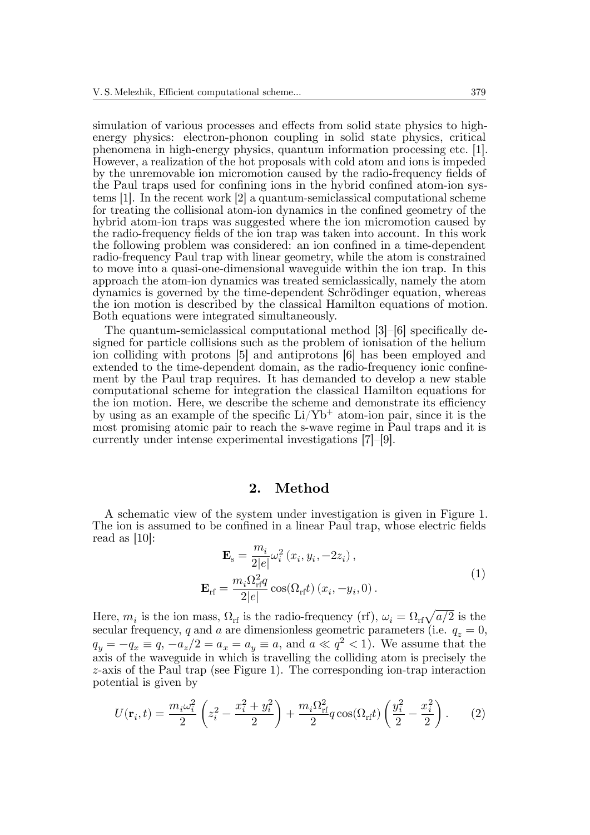simulation of various processes and effects from solid state physics to highenergy physics: electron-phonon coupling in solid state physics, critical phenomena in high-energy physics, quantum information processing etc. [1]. However, a realization of the hot proposals with cold atom and ions is impeded by the unremovable ion micromotion caused by the radio-frequency fields of the Paul traps used for confining ions in the hybrid confined atom-ion systems [1]. In the recent work [2] a quantum-semiclassical computational scheme for treating the collisional atom-ion dynamics in the confined geometry of the hybrid atom-ion traps was suggested where the ion micromotion caused by the radio-frequency fields of the ion trap was taken into account. In this work the following problem was considered: an ion confined in a time-dependent radio-frequency Paul trap with linear geometry, while the atom is constrained to move into a quasi-one-dimensional waveguide within the ion trap. In this approach the atom-ion dynamics was treated semiclassically, namely the atom dynamics is governed by the time-dependent Schrödinger equation, whereas the ion motion is described by the classical Hamilton equations of motion. Both equations were integrated simultaneously.

The quantum-semiclassical computational method [3]–[6] specifically designed for particle collisions such as the problem of ionisation of the helium ion colliding with protons [5] and antiprotons [6] has been employed and extended to the time-dependent domain, as the radio-frequency ionic confinement by the Paul trap requires. It has demanded to develop a new stable computational scheme for integration the classical Hamilton equations for the ion motion. Here, we describe the scheme and demonstrate its efficiency by using as an example of the specific  $Li/Yb^+$  atom-ion pair, since it is the most promising atomic pair to reach the s-wave regime in Paul traps and it is currently under intense experimental investigations [7]–[9].

### **2. Method**

A schematic view of the system under investigation is given in Figure 1. The ion is assumed to be confined in a linear Paul trap, whose electric fields read as [10]:

$$
\mathbf{E}_{\rm s} = \frac{m_i}{2|e|} \omega_i^2 (x_i, y_i, -2z_i),
$$
  

$$
\mathbf{E}_{\rm rf} = \frac{m_i \Omega_{\rm rf}^2 q}{2|e|} \cos(\Omega_{\rm rf} t) (x_i, -y_i, 0).
$$
 (1)

Here,  $m_i$  is the ion mass,  $\Omega_{\rm rf}$  is the radio-frequency (rf),  $\omega_i = \Omega_{\rm rf} \sqrt{a/2}$  is the secular frequency, q and a are dimensionless geometric parameters (i.e.  $q_z = 0$ ,  $q_y = -q_x \equiv q, -a_z/2 = a_x = a_y \equiv a$ , and  $a \ll q^2 < 1$ ). We assume that the axis of the waveguide in which is travelling the colliding atom is precisely the  $z$ -axis of the Paul trap (see Figure 1). The corresponding ion-trap interaction potential is given by

$$
U(\mathbf{r}_i, t) = \frac{m_i \omega_i^2}{2} \left( z_i^2 - \frac{x_i^2 + y_i^2}{2} \right) + \frac{m_i \Omega_{\text{rf}}^2}{2} q \cos(\Omega_{\text{rf}} t) \left( \frac{y_i^2}{2} - \frac{x_i^2}{2} \right). \tag{2}
$$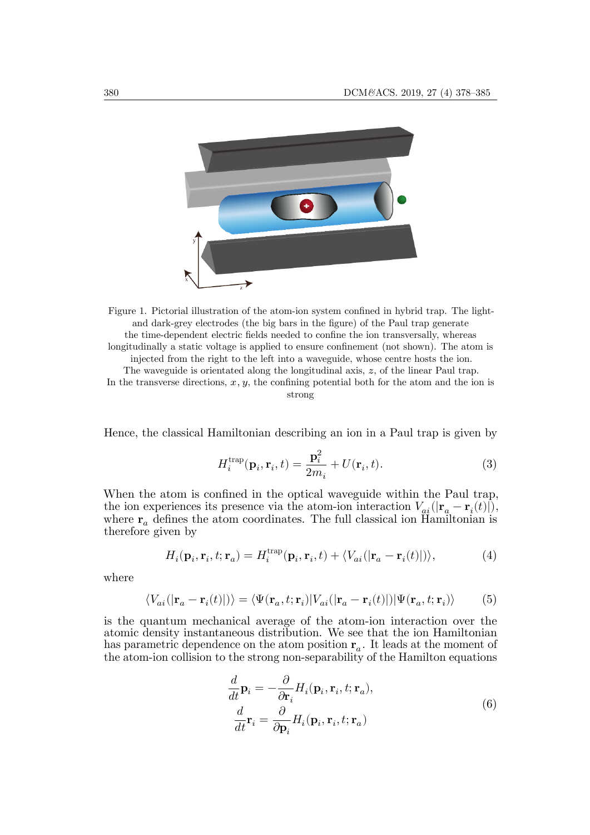

Figure 1. Pictorial illustration of the atom-ion system confined in hybrid trap. The lightand dark-grey electrodes (the big bars in the figure) of the Paul trap generate the time-dependent electric fields needed to confine the ion transversally, whereas longitudinally a static voltage is applied to ensure confinement (not shown). The atom is injected from the right to the left into a waveguide, whose centre hosts the ion. The waveguide is orientated along the longitudinal axis,  $z$ , of the linear Paul trap. In the transverse directions,  $x, y$ , the confining potential both for the atom and the ion is strong

Hence, the classical Hamiltonian describing an ion in a Paul trap is given by

$$
H_i^{\text{trap}}(\mathbf{p}_i, \mathbf{r}_i, t) = \frac{\mathbf{p}_i^2}{2m_i} + U(\mathbf{r}_i, t). \tag{3}
$$

When the atom is confined in the optical waveguide within the Paul trap, the ion experiences its presence via the atom-ion interaction  $V_{ai}(|\mathbf{r}_a - \mathbf{r}_i(t)|),$ where  $\mathbf{r}_a$  defines the atom coordinates. The full classical ion Hamiltonian is therefore given by

$$
H_i(\mathbf{p}_i, \mathbf{r}_i, t; \mathbf{r}_a) = H_i^{\text{trap}}(\mathbf{p}_i, \mathbf{r}_i, t) + \langle V_{ai}(|\mathbf{r}_a - \mathbf{r}_i(t)|) \rangle,
$$
(4)

where

$$
\langle V_{ai}(|\mathbf{r}_a - \mathbf{r}_i(t)|) \rangle = \langle \Psi(\mathbf{r}_a, t; \mathbf{r}_i) | V_{ai}(|\mathbf{r}_a - \mathbf{r}_i(t)|) | \Psi(\mathbf{r}_a, t; \mathbf{r}_i) \rangle \tag{5}
$$

is the quantum mechanical average of the atom-ion interaction over the atomic density instantaneous distribution. We see that the ion Hamiltonian has parametric dependence on the atom position  $\mathbf{r}_a$ . It leads at the moment of the atom-ion collision to the strong non-separability of the Hamilton equations

$$
\frac{d}{dt}\mathbf{p}_{i} = -\frac{\partial}{\partial \mathbf{r}_{i}}H_{i}(\mathbf{p}_{i}, \mathbf{r}_{i}, t; \mathbf{r}_{a}),
$$
\n
$$
\frac{d}{dt}\mathbf{r}_{i} = \frac{\partial}{\partial \mathbf{p}_{i}}H_{i}(\mathbf{p}_{i}, \mathbf{r}_{i}, t; \mathbf{r}_{a})
$$
\n(6)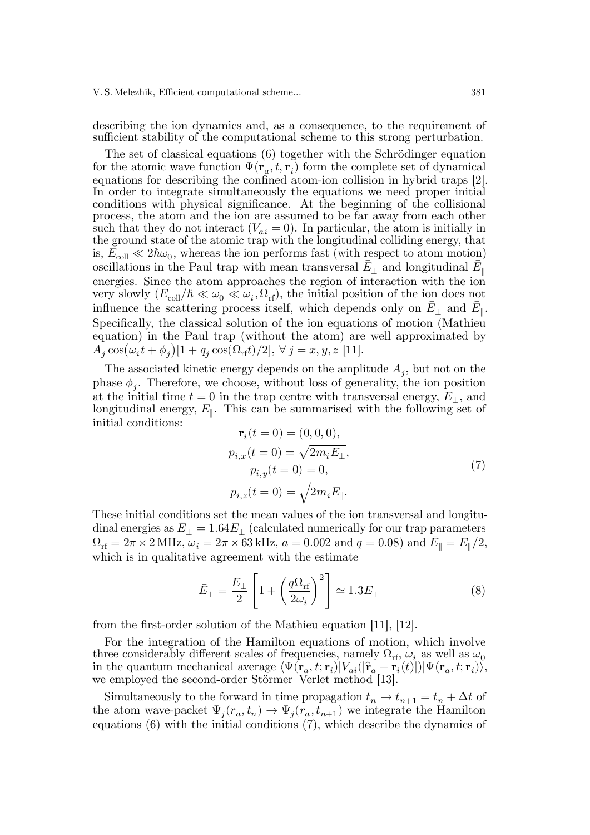describing the ion dynamics and, as a consequence, to the requirement of sufficient stability of the computational scheme to this strong perturbation.

The set of classical equations (6) together with the Schrödinger equation for the atomic wave function  $\Psi(\mathbf{r}_a, t, \mathbf{r}_i)$  form the complete set of dynamical equations for describing the confined atom-ion collision in hybrid traps [2]. In order to integrate simultaneously the equations we need proper initial conditions with physical significance. At the beginning of the collisional process, the atom and the ion are assumed to be far away from each other such that they do not interact  $(V_{ai} = 0)$ . In particular, the atom is initially in the ground state of the atomic trap with the longitudinal colliding energy, that is,  $E_{\text{coll}} \ll 2\hbar\omega_0$ , whereas the ion performs fast (with respect to atom motion) oscillations in the Paul trap with mean transversal  $\bar{E}_{\perp}$  and longitudinal  $\bar{E}_{\parallel}$ energies. Since the atom approaches the region of interaction with the ion very slowly  $(E_{\text{coll}}/\hbar \ll \omega_0 \ll \omega_i, \Omega_{\text{rf}})$ , the initial position of the ion does not influence the scattering process itself, which depends only on  $\bar{E}_{\perp}$  and  $\bar{E}_{\parallel}$ . Specifically, the classical solution of the ion equations of motion (Mathieu equation) in the Paul trap (without the atom) are well approximated by  $A_j \cos(\omega_i t + \phi_j)[1 + q_j \cos(\Omega_{\rm rf} t)/2], \ \forall \ j = x, y, z \ [11].$ 

The associated kinetic energy depends on the amplitude  $A_j$ , but not on the phase  $\phi_j$ . Therefore, we choose, without loss of generality, the ion position at the initial time  $t = 0$  in the trap centre with transversal energy,  $E_{\perp}$ , and longitudinal energy,  $E_{\parallel}$ . This can be summarised with the following set of initial conditions:

$$
\mathbf{r}_i(t=0) = (0,0,0), \np_{i,x}(t=0) = \sqrt{2m_i E_{\perp}}, \np_{i,y}(t=0) = 0, \np_{i,z}(t=0) = \sqrt{2m_i E_{\parallel}}.
$$
\n(7)

These initial conditions set the mean values of the ion transversal and longitudinal energies as  $\bar{E}_{\perp} = 1.64 E_{\perp}$  (calculated numerically for our trap parameters  $\Omega_{\text{rf}} = 2\pi \times 2\,\text{MHz}, \, \overset{\circ}{\omega}_i = 2\pi \times \overset{\circ}{63}\text{kHz}, \, a = 0.002 \text{ and } \overset{\circ}{q} = 0.08) \text{ and } \overset{\circ}{E}_{\parallel} = E_{\parallel}/2,$ which is in qualitative agreement with the estimate

$$
\bar{E}_{\perp} = \frac{E_{\perp}}{2} \left[ 1 + \left( \frac{q \Omega_{\text{rf}}}{2 \omega_i} \right)^2 \right] \simeq 1.3 E_{\perp}
$$
 (8)

from the first-order solution of the Mathieu equation [11], [12].

For the integration of the Hamilton equations of motion, which involve three considerably different scales of frequencies, namely  $\Omega_{\rm rf}$ ,  $\omega_i$  as well as  $\omega_0$ in the quantum mechanical average  $\langle \Psi(\mathbf{r}_a, t; \mathbf{r}_i) | V_{ai}(|\hat{\mathbf{r}}_a - \mathbf{r}_i(t)|) | \Psi(\mathbf{r}_a, t; \mathbf{r}_i) \rangle$ , we employed the second-order Störmer–Verlet method [13].

Simultaneously to the forward in time propagation  $t_n \to t_{n+1} = t_n + \Delta t$  of the atom wave-packet  $\Psi_j(r_a, t_n) \to \Psi_j(r_a, t_{n+1})$  we integrate the Hamilton equations  $(6)$  with the initial conditions  $(7)$ , which describe the dynamics of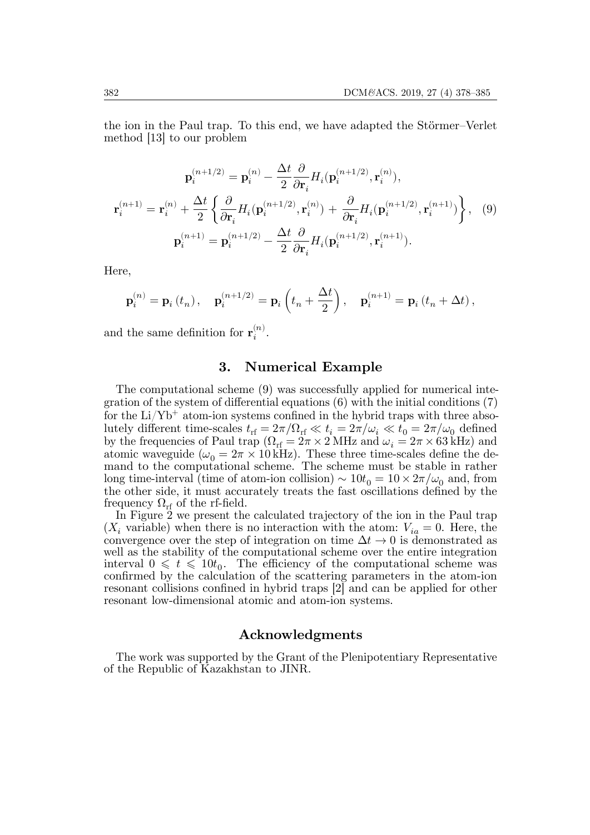the ion in the Paul trap. To this end, we have adapted the Störmer–Verlet method [13] to our problem

$$
\mathbf{p}_{i}^{(n+1/2)} = \mathbf{p}_{i}^{(n)} - \frac{\Delta t}{2} \frac{\partial}{\partial \mathbf{r}_{i}} H_{i}(\mathbf{p}_{i}^{(n+1/2)}, \mathbf{r}_{i}^{(n)}),
$$

$$
\mathbf{r}_{i}^{(n+1)} = \mathbf{r}_{i}^{(n)} + \frac{\Delta t}{2} \left\{ \frac{\partial}{\partial \mathbf{r}_{i}} H_{i}(\mathbf{p}_{i}^{(n+1/2)}, \mathbf{r}_{i}^{(n)}) + \frac{\partial}{\partial \mathbf{r}_{i}} H_{i}(\mathbf{p}_{i}^{(n+1/2)}, \mathbf{r}_{i}^{(n+1)}) \right\}, \quad (9)
$$

$$
\mathbf{p}_{i}^{(n+1)} = \mathbf{p}_{i}^{(n+1/2)} - \frac{\Delta t}{2} \frac{\partial}{\partial \mathbf{r}_{i}} H_{i}(\mathbf{p}_{i}^{(n+1/2)}, \mathbf{r}_{i}^{(n+1)}).
$$

Here,

$$
\mathbf{p}_{i}^{(n)}=\mathbf{p}_{i}\left(t_{n}\right),\quad \mathbf{p}_{i}^{(n+1/2)}=\mathbf{p}_{i}\left(t_{n}+\frac{\Delta t}{2}\right),\quad \mathbf{p}_{i}^{(n+1)}=\mathbf{p}_{i}\left(t_{n}+\Delta t\right),
$$

and the same definition for  $\mathbf{r}_i^{(n)}$  $\binom{n}{i}$ .

## **3. Numerical Example**

The computational scheme (9) was successfully applied for numerical integration of the system of differential equations (6) with the initial conditions (7) for the  $Li/Yb^{+}$  atom-ion systems confined in the hybrid traps with three absolutely different time-scales  $t_{\rm rf} = 2\pi/\Omega_{\rm rf} \ll t_i = 2\pi/\omega_i \ll t_0 = 2\pi/\omega_0$  defined by the frequencies of Paul trap ( $\Omega_{\text{rf}} = 2\pi \times 2 \text{ MHz}$  and  $\omega_i = 2\pi \times 63 \text{ kHz}$ ) and atomic waveguide ( $\omega_0 = 2\pi \times 10 \,\text{kHz}$ ). These three time-scales define the demand to the computational scheme. The scheme must be stable in rather long time-interval (time of atom-ion collision)  $\sim 10t_0 = 10 \times 2\pi/\omega_0$  and, from the other side, it must accurately treats the fast oscillations defined by the frequency  $\Omega_{\rm rf}$  of the rf-field.

In Figure 2 we present the calculated trajectory of the ion in the Paul trap  $(X_i$  variable) when there is no interaction with the atom:  $V_{ia} = 0$ . Here, the convergence over the step of integration on time  $\Delta t \rightarrow 0$  is demonstrated as well as the stability of the computational scheme over the entire integration interval  $0 \leq t \leq 10t_0$ . The efficiency of the computational scheme was confirmed by the calculation of the scattering parameters in the atom-ion resonant collisions confined in hybrid traps [2] and can be applied for other resonant low-dimensional atomic and atom-ion systems.

#### **Acknowledgments**

The work was supported by the Grant of the Plenipotentiary Representative of the Republic of Kazakhstan to JINR.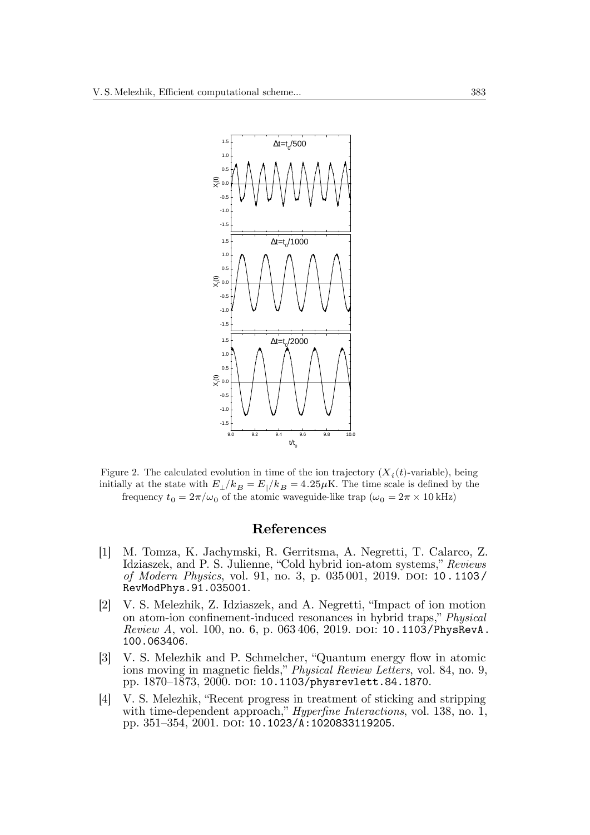

Figure 2. The calculated evolution in time of the ion trajectory  $(X_i(t)$ -variable), being initially at the state with  $E_{\perp}/k_B = E_{\parallel}/k_B = 4.25 \mu K$ . The time scale is defined by the frequency  $t_0 = 2\pi/\omega_0$  of the atomic waveguide-like trap  $(\omega_0 = 2\pi \times 10 \text{ kHz})$ 

### **References**

- [1] M. Tomza, K. Jachymski, R. Gerritsma, A. Negretti, T. Calarco, Z. Idziaszek, and P. S. Julienne, "Cold hybrid ion-atom systems," *Reviews of Modern Physics*, vol. 91, no. 3, p. 035 001, 2019. DOI: 10 . 1103 / RevModPhys.91.035001.
- [2] V. S. Melezhik, Z. Idziaszek, and A. Negretti, "Impact of ion motion on atom-ion confinement-induced resonances in hybrid traps," *Physical Review A*, vol. 100, no. 6, p. 063 406, 2019. DOI: 10.1103/PhysRevA. 100.063406.
- [3] V. S. Melezhik and P. Schmelcher, "Quantum energy flow in atomic ions moving in magnetic fields," *Physical Review Letters*, vol. 84, no. 9, pp. 1870–1873, 2000. DOI: 10.1103/physrevlett.84.1870.
- [4] V. S. Melezhik, "Recent progress in treatment of sticking and stripping with time-dependent approach," *Hyperfine Interactions*, vol. 138, no. 1, pp. 351–354, 2001. DOI: 10.1023/A:1020833119205.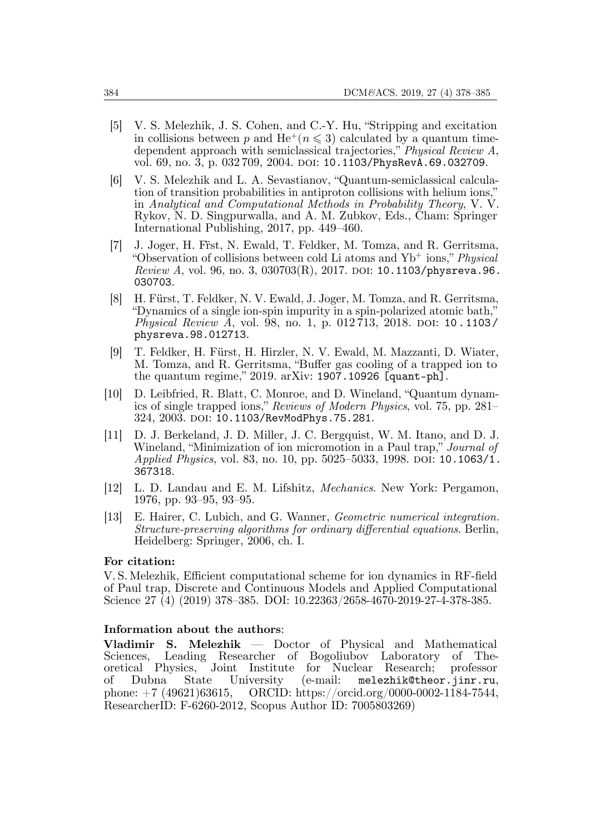- [5] V. S. Melezhik, J. S. Cohen, and C.-Y. Hu, "Stripping and excitation in collisions between p and  $He^+(n \leq 3)$  calculated by a quantum timedependent approach with semiclassical trajectories," *Physical Review A*, vol. 69, no. 3, p. 032 709, 2004. DOI: 10.1103/PhysRevA.69.032709.
- [6] V. S. Melezhik and L. A. Sevastianov, "Quantum-semiclassical calculation of transition probabilities in antiproton collisions with helium ions," in *Analytical and Computational Methods in Probability Theory*, V. V. Rykov, N. D. Singpurwalla, and A. M. Zubkov, Eds., Cham: Springer International Publishing, 2017, pp. 449–460.
- [7] J. Joger, H. Fr̈st, N. Ewald, T. Feldker, M. Tomza, and R. Gerritsma, "Observation of collisions between cold Li atoms and Yb<sup>+</sup> ions," *Physical Review A*, vol. 96, no. 3, 030703(R), 2017. DOI: 10.1103/physreva.96. 030703.
- [8] H. Fürst, T. Feldker, N. V. Ewald, J. Joger, M. Tomza, and R. Gerritsma, "Dynamics of a single ion-spin impurity in a spin-polarized atomic bath," *Physical Review A*, vol. 98, no. 1, p. 012 713, 2018. DOI: 10 . 1103 / physreva.98.012713.
- [9] T. Feldker, H. Fürst, H. Hirzler, N. V. Ewald, M. Mazzanti, D. Wiater, M. Tomza, and R. Gerritsma, "Buffer gas cooling of a trapped ion to the quantum regime," 2019. arXiv: 1907.10926 [quant-ph].
- [10] D. Leibfried, R. Blatt, C. Monroe, and D. Wineland, "Quantum dynamics of single trapped ions," *Reviews of Modern Physics*, vol. 75, pp. 281– 324, 2003. DOI: 10.1103/RevModPhys.75.281.
- [11] D. J. Berkeland, J. D. Miller, J. C. Bergquist, W. M. Itano, and D. J. Wineland, "Minimization of ion micromotion in a Paul trap," *Journal of Applied Physics*, vol. 83, no. 10, pp. 5025–5033, 1998. DOI: 10.1063/1. 367318.
- [12] L. D. Landau and E. M. Lifshitz, *Mechanics*. New York: Pergamon, 1976, pp. 93–95, 93–95.
- [13] E. Hairer, C. Lubich, and G. Wanner, *Geometric numerical integration. Structure-preserving algorithms for ordinary differential equations*. Berlin, Heidelberg: Springer, 2006, ch. I.

### **For citation:**

V. S. Melezhik, Efficient computational scheme for ion dynamics in RF-field of Paul trap, Discrete and Continuous Models and Applied Computational Science 27 (4) (2019) 378–385. DOI: 10.22363/2658-4670-2019-27-4-378-385.

#### **Information about the authors**:

**Vladimir S. Melezhik** — Doctor of Physical and Mathematical Sciences, Leading Researcher of Bogoliubov Laboratory of The-<br>oretical Physics, Joint Institute for Nuclear Research; professor Joint Institute for Nuclear Research; professor<br>
Physics, Jointersity (e-mail: melezhik@theor.iinr.ru. of Dubna State University (e-mail: melezhik@theor.jinr.ru, phone: +7 (49621)63615, ORCID: https://orcid.org/0000-0002-1184-7544, ResearcherID: F-6260-2012, Scopus Author ID: 7005803269)